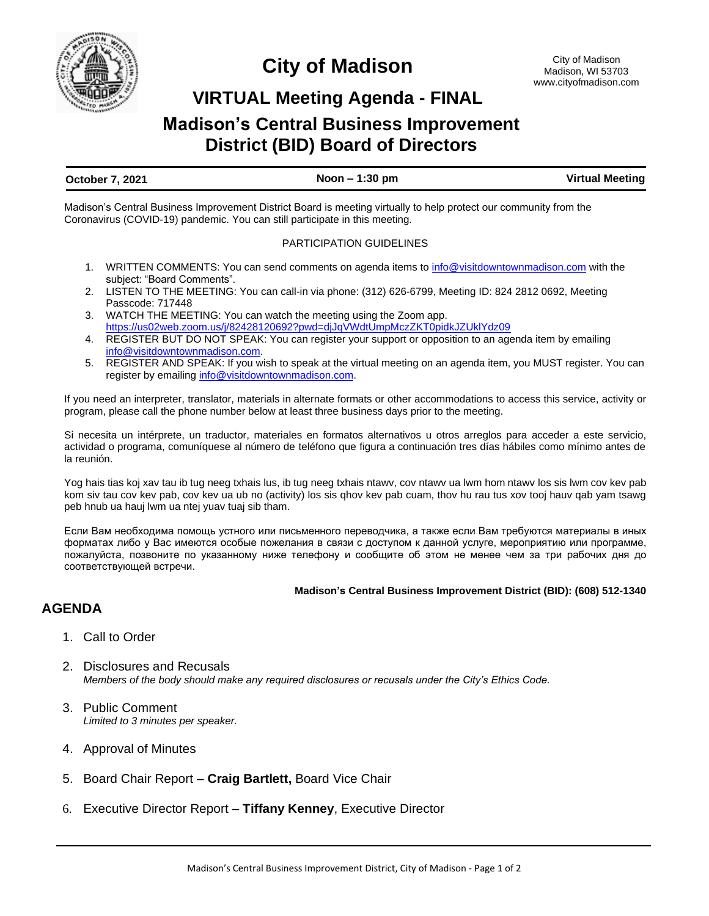

# **City of Madison**

# **VIRTUAL Meeting Agenda - FINAL**

# **Madison's Central Business Improvement District (BID) Board of Directors**

## **October 7, 2021 Noon – 1:30 pm Virtual Meeting**

Madison's Central Business Improvement District Board is meeting virtually to help protect our community from the Coronavirus (COVID-19) pandemic. You can still participate in this meeting.

## PARTICIPATION GUIDELINES

- 1. WRITTEN COMMENTS: You can send comments on agenda items to [info@visitdowntownmadison.com](mailto:info@visitdowntownmadison.com) with the subject: "Board Comments".
- 2. LISTEN TO THE MEETING: You can call-in via phone: (312) 626-6799, Meeting ID: 824 2812 0692, Meeting Passcode: 717448
- 3. WATCH THE MEETING: You can watch the meeting using the Zoom app. <https://us02web.zoom.us/j/82428120692?pwd=djJqVWdtUmpMczZKT0pidkJZUklYdz09>
- 4. REGISTER BUT DO NOT SPEAK: You can register your support or opposition to an agenda item by emailing [info@visitdowntownmadison.com.](mailto:info@visitdowntownmadison.com)
- 5. REGISTER AND SPEAK: If you wish to speak at the virtual meeting on an agenda item, you MUST register. You can register by emailing [info@visitdowntownmadison.com.](mailto:info@visitdowntownmadison.com)

If you need an interpreter, translator, materials in alternate formats or other accommodations to access this service, activity or program, please call the phone number below at least three business days prior to the meeting.

Si necesita un intérprete, un traductor, materiales en formatos alternativos u otros arreglos para acceder a este servicio, actividad o programa, comuníquese al número de teléfono que figura a continuación tres días hábiles como mínimo antes de la reunión.

Yog hais tias koj xav tau ib tug neeg txhais lus, ib tug neeg txhais ntawv, cov ntawv ua lwm hom ntawv los sis lwm cov kev pab kom siv tau cov kev pab, cov kev ua ub no (activity) los sis qhov kev pab cuam, thov hu rau tus xov tooj hauv qab yam tsawg peb hnub ua hauj lwm ua ntej yuav tuaj sib tham.

Если Вам необходима помощь устного или письменного переводчика, а также если Вам требуются материалы в иных форматах либо у Вас имеются особые пожелания в связи с доступом к данной услуге, мероприятию или программе, пожалуйста, позвоните по указанному ниже телефону и сообщите об этом не менее чем за три рабочих дня до соответствующей встречи.

### **Madison's Central Business Improvement District (BID): (608) 512-1340**

# **AGENDA**

- 1. Call to Order
- 2. Disclosures and Recusals *Members of the body should make any required disclosures or recusals under the City's Ethics Code.*
- 3. Public Comment *Limited to 3 minutes per speaker.*
- 4. Approval of Minutes
- 5. Board Chair Report **Craig Bartlett,** Board Vice Chair
- 6. Executive Director Report **Tiffany Kenney**, Executive Director